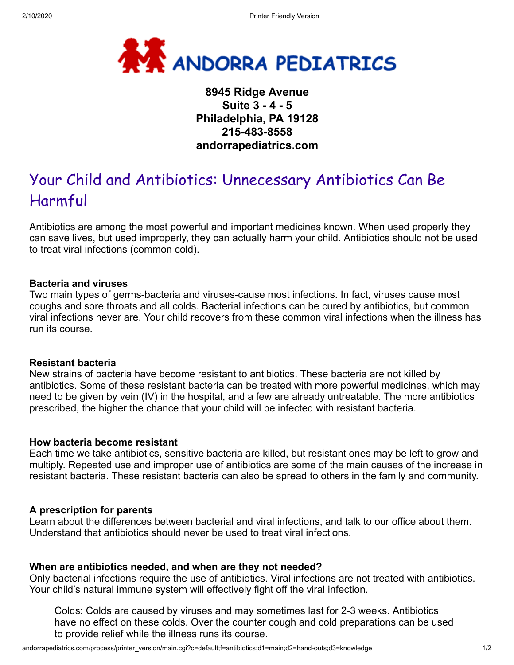

# **8945 Ridge Avenue Suite 3 - 4 - 5 Philadelphia, PA 19128 215-483-8558 andorrapediatrics.com**

# Your Child and Antibiotics: Unnecessary Antibiotics Can Be Harmful

Antibiotics are among the most powerful and important medicines known. When used properly they can save lives, but used improperly, they can actually harm your child. Antibiotics should not be used to treat viral infections (common cold).

#### **Bacteria and viruses**

Two main types of germs-bacteria and viruses-cause most infections. In fact, viruses cause most coughs and sore throats and all colds. Bacterial infections can be cured by antibiotics, but common viral infections never are. Your child recovers from these common viral infections when the illness has run its course.

#### **Resistant bacteria**

New strains of bacteria have become resistant to antibiotics. These bacteria are not killed by antibiotics. Some of these resistant bacteria can be treated with more powerful medicines, which may need to be given by vein (IV) in the hospital, and a few are already untreatable. The more antibiotics prescribed, the higher the chance that your child will be infected with resistant bacteria.

#### **How bacteria become resistant**

Each time we take antibiotics, sensitive bacteria are killed, but resistant ones may be left to grow and multiply. Repeated use and improper use of antibiotics are some of the main causes of the increase in resistant bacteria. These resistant bacteria can also be spread to others in the family and community.

#### **A prescription for parents**

Learn about the differences between bacterial and viral infections, and talk to our office about them. Understand that antibiotics should never be used to treat viral infections.

# **When are antibiotics needed, and when are they not needed?**

Only bacterial infections require the use of antibiotics. Viral infections are not treated with antibiotics. Your child's natural immune system will effectively fight off the viral infection.

Colds: Colds are caused by viruses and may sometimes last for 2-3 weeks. Antibiotics have no effect on these colds. Over the counter cough and cold preparations can be used to provide relief while the illness runs its course.